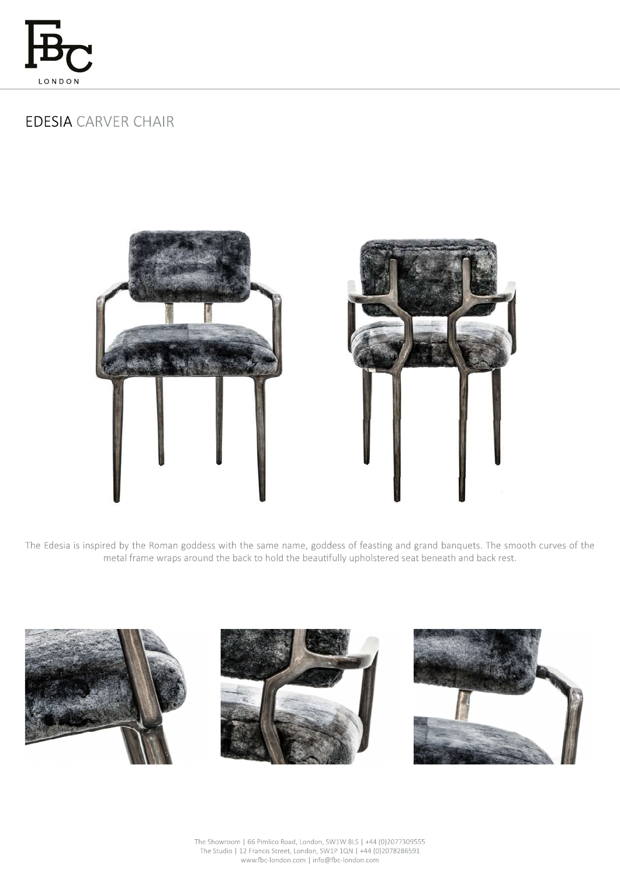

# **EDESIA CARVER CHAIR**





The Edesia is inspired by the Roman goddess with the same name, goddess of feasting and grand banquets. The smooth curves of the metal frame wraps around the back to hold the beautifully upholstered seat beneath and back rest.